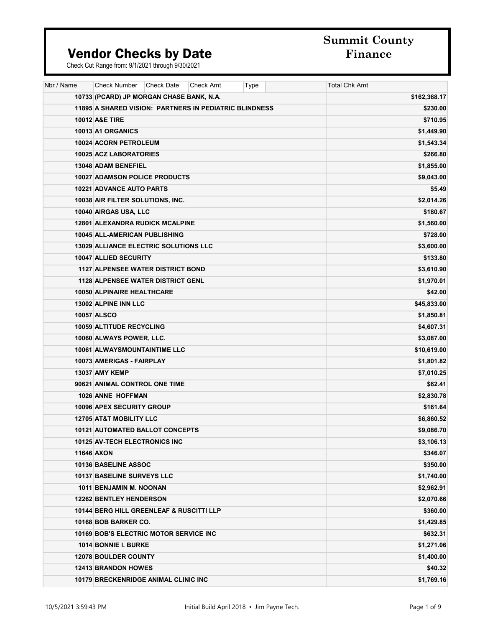# **Summit County**

#### Vendor Checks by Date **Finance**

| Nbr / Name | <b>Check Number</b><br><b>Check Date</b><br><b>Check Amt</b><br>Type | <b>Total Chk Amt</b> |
|------------|----------------------------------------------------------------------|----------------------|
|            | 10733 (PCARD) JP MORGAN CHASE BANK, N.A.                             | \$162,368.17         |
|            | 11895 A SHARED VISION: PARTNERS IN PEDIATRIC BLINDNESS               | \$230.00             |
|            | <b>10012 A&amp;E TIRE</b>                                            | \$710.95             |
|            | 10013 A1 ORGANICS                                                    | \$1,449.90           |
|            | 10024 ACORN PETROLEUM                                                | \$1,543.34           |
|            | 10025 ACZ LABORATORIES                                               | \$266.80             |
|            | 13048 ADAM BENEFIEL                                                  | \$1,855.00           |
|            | <b>10027 ADAMSON POLICE PRODUCTS</b>                                 | \$9,043.00           |
|            | <b>10221 ADVANCE AUTO PARTS</b>                                      | \$5.49               |
|            | 10038 AIR FILTER SOLUTIONS, INC.                                     | \$2,014.26           |
|            | 10040 AIRGAS USA, LLC                                                | \$180.67             |
|            | 12801 ALEXANDRA RUDICK MCALPINE                                      | \$1,560.00           |
|            | 10045 ALL-AMERICAN PUBLISHING                                        | \$728.00             |
|            | <b>13029 ALLIANCE ELECTRIC SOLUTIONS LLC</b>                         | \$3,600.00           |
|            | 10047 ALLIED SECURITY                                                | \$133.80             |
|            | <b>1127 ALPENSEE WATER DISTRICT BOND</b>                             | \$3,610.90           |
|            | <b>1128 ALPENSEE WATER DISTRICT GENL</b>                             | \$1,970.01           |
|            | 10050 ALPINAIRE HEALTHCARE                                           | \$42.00              |
|            | 13002 ALPINE INN LLC                                                 | \$45,833.00          |
|            | 10057 ALSCO                                                          | \$1,850.81           |
|            | 10059 ALTITUDE RECYCLING                                             | \$4,607.31           |
|            | 10060 ALWAYS POWER, LLC.                                             | \$3,087.00           |
|            | 10061 ALWAYSMOUNTAINTIME LLC                                         | \$10,619.00          |
|            | 10073 AMERIGAS - FAIRPLAY                                            | \$1,801.82           |
|            | <b>13037 AMY KEMP</b>                                                | \$7,010.25           |
|            | 90621 ANIMAL CONTROL ONE TIME                                        | \$62.41              |
|            | 1026 ANNE HOFFMAN                                                    | \$2,830.78           |
|            | <b>10096 APEX SECURITY GROUP</b>                                     | \$161.64             |
|            | <b>12705 AT&amp;T MOBILITY LLC</b>                                   | \$6,860.52           |
|            | 10121 AUTOMATED BALLOT CONCEPTS                                      | \$9,086.70           |
|            | <b>10125 AV-TECH ELECTRONICS INC</b>                                 | \$3,106.13           |
|            | <b>11646 AXON</b>                                                    | \$346.07             |
|            | 10136 BASELINE ASSOC                                                 | \$350.00             |
|            | 10137 BASELINE SURVEYS LLC                                           | \$1,740.00           |
|            | 1011 BENJAMIN M. NOONAN                                              | \$2,962.91           |
|            | <b>12262 BENTLEY HENDERSON</b>                                       | \$2,070.66           |
|            | 10144 BERG HILL GREENLEAF & RUSCITTI LLP                             | \$360.00             |
|            | 10168 BOB BARKER CO.                                                 | \$1,429.85           |
|            | <b>10169 BOB'S ELECTRIC MOTOR SERVICE INC</b>                        | \$632.31             |
|            | 1014 BONNIE I. BURKE                                                 | \$1,271.06           |
|            | <b>12078 BOULDER COUNTY</b>                                          | \$1,400.00           |
|            | <b>12413 BRANDON HOWES</b>                                           | \$40.32              |
|            | <b>10179 BRECKENRIDGE ANIMAL CLINIC INC</b>                          | \$1,769.16           |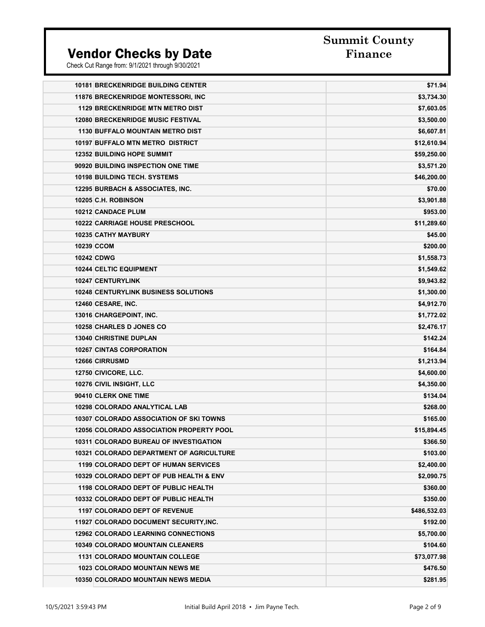**Summit County** 

| <b>10181 BRECKENRIDGE BUILDING CENTER</b>       | \$71.94      |
|-------------------------------------------------|--------------|
| <b>11876 BRECKENRIDGE MONTESSORI, INC.</b>      | \$3,734.30   |
| <b>1129 BRECKENRIDGE MTN METRO DIST</b>         | \$7,603.05   |
| <b>12080 BRECKENRIDGE MUSIC FESTIVAL</b>        | \$3,500.00   |
| <b>1130 BUFFALO MOUNTAIN METRO DIST</b>         | \$6,607.81   |
| 10197 BUFFALO MTN METRO DISTRICT                | \$12,610.94  |
| <b>12352 BUILDING HOPE SUMMIT</b>               | \$59,250.00  |
| 90920 BUILDING INSPECTION ONE TIME              | \$3,571.20   |
| <b>10198 BUILDING TECH. SYSTEMS</b>             | \$46,200.00  |
| 12295 BURBACH & ASSOCIATES, INC.                | \$70.00      |
| 10205 C.H. ROBINSON                             | \$3,901.88   |
| 10212 CANDACE PLUM                              | \$953.00     |
| <b>10222 CARRIAGE HOUSE PRESCHOOL</b>           | \$11,289.60  |
| <b>10235 CATHY MAYBURY</b>                      | \$45.00      |
| 10239 CCOM                                      | \$200.00     |
| <b>10242 CDWG</b>                               | \$1,558.73   |
| 10244 CELTIC EQUIPMENT                          | \$1,549.62   |
| 10247 CENTURYLINK                               | \$9,943.82   |
| <b>10248 CENTURYLINK BUSINESS SOLUTIONS</b>     | \$1,300.00   |
| 12460 CESARE, INC.                              | \$4,912.70   |
| 13016 CHARGEPOINT, INC.                         | \$1,772.02   |
| 10258 CHARLES D JONES CO                        | \$2,476.17   |
| <b>13040 CHRISTINE DUPLAN</b>                   | \$142.24     |
| <b>10267 CINTAS CORPORATION</b>                 | \$164.84     |
| 12666 CIRRUSMD                                  | \$1,213.94   |
| 12750 CIVICORE, LLC.                            | \$4,600.00   |
| 10276 CIVIL INSIGHT, LLC                        | \$4,350.00   |
| 90410 CLERK ONE TIME                            | \$134.04     |
| 10298 COLORADO ANALYTICAL LAB                   | \$268.00     |
| 10307 COLORADO ASSOCIATION OF SKI TOWNS         | \$165.00     |
| <b>12056 COLORADO ASSOCIATION PROPERTY POOL</b> | \$15,894.45  |
| 10311 COLORADO BUREAU OF INVESTIGATION          | \$366.50     |
| <b>10321 COLORADO DEPARTMENT OF AGRICULTURE</b> | \$103.00     |
| 1199 COLORADO DEPT OF HUMAN SERVICES            | \$2,400.00   |
| 10329 COLORADO DEPT OF PUB HEALTH & ENV         | \$2,090.75   |
| 1198 COLORADO DEPT OF PUBLIC HEALTH             | \$360.00     |
| 10332 COLORADO DEPT OF PUBLIC HEALTH            | \$350.00     |
| 1197 COLORADO DEPT OF REVENUE                   | \$486,532.03 |
| 11927 COLORADO DOCUMENT SECURITY, INC.          | \$192.00     |
| <b>12962 COLORADO LEARNING CONNECTIONS</b>      | \$5,700.00   |
| 10349 COLORADO MOUNTAIN CLEANERS                | \$104.60     |
| <b>1131 COLORADO MOUNTAIN COLLEGE</b>           | \$73,077.98  |
| <b>1023 COLORADO MOUNTAIN NEWS ME</b>           | \$476.50     |
| <b>10350 COLORADO MOUNTAIN NEWS MEDIA</b>       | \$281.95     |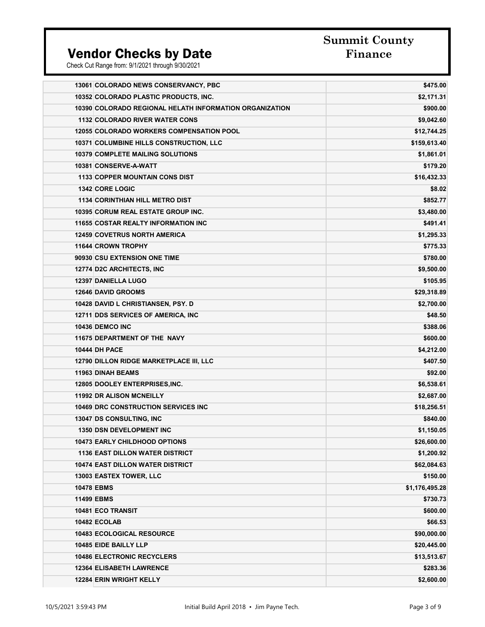# **Summit County**

| 13061 COLORADO NEWS CONSERVANCY, PBC                    | \$475.00       |
|---------------------------------------------------------|----------------|
| 10352 COLORADO PLASTIC PRODUCTS, INC.                   | \$2,171.31     |
| 10390 COLORADO REGIONAL HELATH INFORMATION ORGANIZATION | \$900.00       |
| <b>1132 COLORADO RIVER WATER CONS</b>                   | \$9,042.60     |
| <b>12055 COLORADO WORKERS COMPENSATION POOL</b>         | \$12,744.25    |
| 10371 COLUMBINE HILLS CONSTRUCTION, LLC                 | \$159,613.40   |
| <b>10379 COMPLETE MAILING SOLUTIONS</b>                 | \$1,861.01     |
| 10381 CONSERVE-A-WATT                                   | \$179.20       |
| <b>1133 COPPER MOUNTAIN CONS DIST</b>                   | \$16,432.33    |
| 1342 CORE LOGIC                                         | \$8.02         |
| <b>1134 CORINTHIAN HILL METRO DIST</b>                  | \$852.77       |
| <b>10395 CORUM REAL ESTATE GROUP INC.</b>               | \$3,480.00     |
| <b>11655 COSTAR REALTY INFORMATION INC</b>              | \$491.41       |
| <b>12459 COVETRUS NORTH AMERICA</b>                     | \$1,295.33     |
| 11644 CROWN TROPHY                                      | \$775.33       |
| 90930 CSU EXTENSION ONE TIME                            | \$780.00       |
| 12774 D2C ARCHITECTS, INC                               | \$9,500.00     |
| 12397 DANIELLA LUGO                                     | \$105.95       |
| <b>12646 DAVID GROOMS</b>                               | \$29,318.89    |
| 10428 DAVID L CHRISTIANSEN, PSY. D                      | \$2,700.00     |
| 12711 DDS SERVICES OF AMERICA, INC                      | \$48.50        |
| <b>10436 DEMCO INC</b>                                  | \$388.06       |
| 11675 DEPARTMENT OF THE NAVY                            | \$600.00       |
| <b>10444 DH PACE</b>                                    | \$4,212.00     |
| 12790 DILLON RIDGE MARKETPLACE III, LLC                 | \$407.50       |
| <b>11963 DINAH BEAMS</b>                                | \$92.00        |
| <b>12805 DOOLEY ENTERPRISES, INC.</b>                   | \$6,538.61     |
| <b>11992 DR ALISON MCNEILLY</b>                         | \$2,687.00     |
| <b>10469 DRC CONSTRUCTION SERVICES INC</b>              | \$18,256.51    |
| 13047 DS CONSULTING, INC                                | \$840.00       |
| <b>1350 DSN DEVELOPMENT INC</b>                         | \$1,150.05     |
| <b>10473 EARLY CHILDHOOD OPTIONS</b>                    | \$26,600.00    |
| <b>1136 EAST DILLON WATER DISTRICT</b>                  | \$1,200.92     |
| <b>10474 EAST DILLON WATER DISTRICT</b>                 | \$62,084.63    |
| 13003 EASTEX TOWER, LLC                                 | \$150.00       |
| <b>10478 EBMS</b>                                       | \$1,176,495.28 |
| <b>11499 EBMS</b>                                       | \$730.73       |
| 10481 ECO TRANSIT                                       | \$600.00       |
| <b>10482 ECOLAB</b>                                     | \$66.53        |
| 10483 ECOLOGICAL RESOURCE                               | \$90,000.00    |
| 10485 EIDE BAILLY LLP                                   | \$20,445.00    |
| <b>10486 ELECTRONIC RECYCLERS</b>                       | \$13,513.67    |
| <b>12364 ELISABETH LAWRENCE</b>                         | \$283.36       |
| <b>12284 ERIN WRIGHT KELLY</b>                          | \$2,600.00     |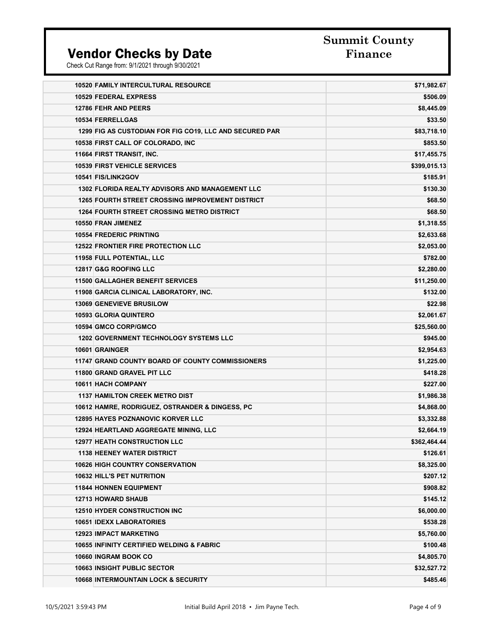# **Summit County**

| <b>10520 FAMILY INTERCULTURAL RESOURCE</b>              | \$71,982.67  |
|---------------------------------------------------------|--------------|
| 10529 FEDERAL EXPRESS                                   | \$506.09     |
| <b>12786 FEHR AND PEERS</b>                             | \$8,445.09   |
| 10534 FERRELLGAS                                        | \$33.50      |
| 1299 FIG AS CUSTODIAN FOR FIG CO19, LLC AND SECURED PAR | \$83,718.10  |
| 10538 FIRST CALL OF COLORADO, INC                       | \$853.50     |
| 11664 FIRST TRANSIT, INC.                               | \$17,455.75  |
| <b>10539 FIRST VEHICLE SERVICES</b>                     | \$399,015.13 |
| 10541 FIS/LINK2GOV                                      | \$185.91     |
| <b>1302 FLORIDA REALTY ADVISORS AND MANAGEMENT LLC</b>  | \$130.30     |
| <b>1265 FOURTH STREET CROSSING IMPROVEMENT DISTRICT</b> | \$68.50      |
| <b>1264 FOURTH STREET CROSSING METRO DISTRICT</b>       | \$68.50      |
| 10550 FRAN JIMENEZ                                      | \$1,318.55   |
| <b>10554 FREDERIC PRINTING</b>                          | \$2,633.68   |
| <b>12522 FRONTIER FIRE PROTECTION LLC</b>               | \$2,053.00   |
| 11958 FULL POTENTIAL, LLC                               | \$782.00     |
| 12817 G&G ROOFING LLC                                   | \$2,280.00   |
| <b>11500 GALLAGHER BENEFIT SERVICES</b>                 | \$11,250.00  |
| 11908 GARCIA CLINICAL LABORATORY, INC.                  | \$132.00     |
| <b>13069 GENEVIEVE BRUSILOW</b>                         | \$22.98      |
| <b>10593 GLORIA QUINTERO</b>                            | \$2,061.67   |
| 10594 GMCO CORP/GMCO                                    | \$25,560.00  |
| <b>1202 GOVERNMENT TECHNOLOGY SYSTEMS LLC</b>           | \$945.00     |
| 10601 GRAINGER                                          | \$2,954.63   |
| 11747 GRAND COUNTY BOARD OF COUNTY COMMISSIONERS        | \$1,225.00   |
| 11800 GRAND GRAVEL PIT LLC                              | \$418.28     |
| 10611 HACH COMPANY                                      | \$227.00     |
| <b>1137 HAMILTON CREEK METRO DIST</b>                   | \$1,986.38   |
| 10612 HAMRE, RODRIGUEZ, OSTRANDER & DINGESS, PC         | \$4,868.00   |
| <b>12895 HAYES POZNANOVIC KORVER LLC</b>                | \$3,332.88   |
| <b>12924 HEARTLAND AGGREGATE MINING, LLC</b>            | \$2,664.19   |
| <b>12977 HEATH CONSTRUCTION LLC</b>                     | \$362,464.44 |
| <b>1138 HEENEY WATER DISTRICT</b>                       | \$126.61     |
| <b>10626 HIGH COUNTRY CONSERVATION</b>                  | \$8,325.00   |
| <b>10632 HILL'S PET NUTRITION</b>                       | \$207.12     |
| <b>11844 HONNEN EQUIPMENT</b>                           | \$908.82     |
| <b>12713 HOWARD SHAUB</b>                               | \$145.12     |
| <b>12510 HYDER CONSTRUCTION INC</b>                     | \$6,000.00   |
| <b>10651 IDEXX LABORATORIES</b>                         | \$538.28     |
| <b>12923 IMPACT MARKETING</b>                           | \$5,760.00   |
| <b>10655 INFINITY CERTIFIED WELDING &amp; FABRIC</b>    | \$100.48     |
| 10660 INGRAM BOOK CO                                    | \$4,805.70   |
| <b>10663 INSIGHT PUBLIC SECTOR</b>                      | \$32,527.72  |
| <b>10668 INTERMOUNTAIN LOCK &amp; SECURITY</b>          | \$485.46     |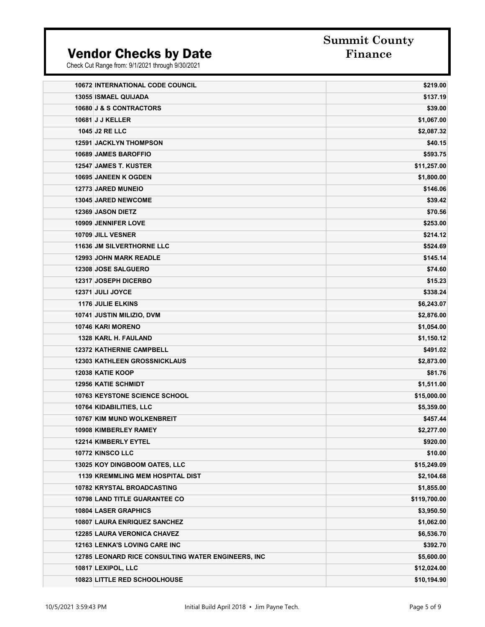**Summit County** 

| <b>10672 INTERNATIONAL CODE COUNCIL</b>            | \$219.00     |
|----------------------------------------------------|--------------|
| <b>13055 ISMAEL QUIJADA</b>                        | \$137.19     |
| 10680 J & S CONTRACTORS                            | \$39.00      |
| <b>10681 J J KELLER</b>                            | \$1,067.00   |
| <b>1045 J2 RE LLC</b>                              | \$2,087.32   |
| <b>12591 JACKLYN THOMPSON</b>                      | \$40.15      |
| 10689 JAMES BAROFFIO                               | \$593.75     |
| <b>12547 JAMES T. KUSTER</b>                       | \$11,257.00  |
| <b>10695 JANEEN K OGDEN</b>                        | \$1,800.00   |
| <b>12773 JARED MUNEIO</b>                          | \$146.06     |
| <b>13045 JARED NEWCOME</b>                         | \$39.42      |
| <b>12369 JASON DIETZ</b>                           | \$70.56      |
| <b>10909 JENNIFER LOVE</b>                         | \$253.00     |
| 10709 JILL VESNER                                  | \$214.12     |
| 11636 JM SILVERTHORNE LLC                          | \$524.69     |
| <b>12993 JOHN MARK READLE</b>                      | \$145.14     |
| 12308 JOSE SALGUERO                                | \$74.60      |
| <b>12317 JOSEPH DICERBO</b>                        | \$15.23      |
| 12371 JULI JOYCE                                   | \$338.24     |
| <b>1176 JULIE ELKINS</b>                           | \$6,243.07   |
| 10741 JUSTIN MILIZIO, DVM                          | \$2,876.00   |
| 10746 KARI MORENO                                  | \$1,054.00   |
| 1328 KARL H. FAULAND                               | \$1,150.12   |
| <b>12372 KATHERNIE CAMPBELL</b>                    | \$491.02     |
| <b>12303 KATHLEEN GROSSNICKLAUS</b>                | \$2,873.00   |
| <b>12038 KATIE KOOP</b>                            | \$81.76      |
| <b>12956 KATIE SCHMIDT</b>                         | \$1,511.00   |
| <b>10763 KEYSTONE SCIENCE SCHOOL</b>               | \$15,000.00  |
| 10764 KIDABILITIES, LLC                            | \$5,359.00   |
| 10767 KIM MUND WOLKENBREIT                         | \$457.44     |
| <b>10908 KIMBERLEY RAMEY</b>                       | \$2,277.00   |
| 12214 KIMBERLY EYTEL                               | \$920.00     |
| 10772 KINSCO LLC                                   | \$10.00      |
| 13025 KOY DINGBOOM OATES, LLC                      | \$15,249.09  |
| <b>1139 KREMMLING MEM HOSPITAL DIST</b>            | \$2,104.68   |
| 10782 KRYSTAL BROADCASTING                         | \$1,855.00   |
| 10798 LAND TITLE GUARANTEE CO                      | \$119,700.00 |
| 10804 LASER GRAPHICS                               | \$3,950.50   |
| 10807 LAURA ENRIQUEZ SANCHEZ                       | \$1,062.00   |
| <b>12285 LAURA VERONICA CHAVEZ</b>                 | \$6,536.70   |
| 12163 LENKA'S LOVING CARE INC                      | \$392.70     |
| 12785 LEONARD RICE CONSULTING WATER ENGINEERS, INC | \$5,600.00   |
| 10817 LEXIPOL, LLC                                 | \$12,024.00  |
| 10823 LITTLE RED SCHOOLHOUSE                       | \$10,194.90  |
|                                                    |              |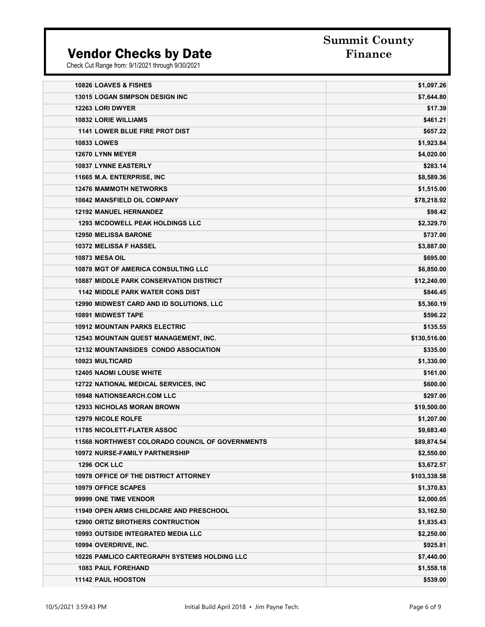**Summit County** 

| 10826 LOAVES & FISHES                                  | \$1,097.26   |
|--------------------------------------------------------|--------------|
| <b>13015 LOGAN SIMPSON DESIGN INC</b>                  | \$7,644.80   |
| 12263 LORI DWYER                                       | \$17.39      |
| 10832 LORIE WILLIAMS                                   | \$461.21     |
| 1141 LOWER BLUE FIRE PROT DIST                         | \$657.22     |
| <b>10833 LOWES</b>                                     | \$1,923.84   |
| 12670 LYNN MEYER                                       | \$4,020.00   |
| 10837 LYNNE EASTERLY                                   | \$283.14     |
| 11665 M.A. ENTERPRISE, INC                             | \$8,589.36   |
| <b>12476 MAMMOTH NETWORKS</b>                          | \$1,515.00   |
| 10842 MANSFIELD OIL COMPANY                            | \$78,218.92  |
| <b>12192 MANUEL HERNANDEZ</b>                          | \$98.42      |
| <b>1293 MCDOWELL PEAK HOLDINGS LLC</b>                 | \$2,329.70   |
| <b>12950 MELISSA BARONE</b>                            | \$737.00     |
| <b>10372 MELISSA F HASSEL</b>                          | \$3,887.00   |
| <b>10873 MESA OIL</b>                                  | \$695.00     |
| <b>10878 MGT OF AMERICA CONSULTING LLC</b>             | \$6,850.00   |
| <b>10887 MIDDLE PARK CONSERVATION DISTRICT</b>         | \$12,240.00  |
| <b>1142 MIDDLE PARK WATER CONS DIST</b>                | \$846.45     |
| 12990 MIDWEST CARD AND ID SOLUTIONS, LLC               | \$5,360.19   |
| 10891 MIDWEST TAPE                                     | \$596.22     |
| <b>10912 MOUNTAIN PARKS ELECTRIC</b>                   | \$135.55     |
| 12543 MOUNTAIN QUEST MANAGEMENT, INC.                  | \$130,516.00 |
| 12132 MOUNTAINSIDES CONDO ASSOCIATION                  | \$335.00     |
| <b>10923 MULTICARD</b>                                 | \$1,330.00   |
| <b>12405 NAOMI LOUSE WHITE</b>                         | \$161.00     |
| <b>12722 NATIONAL MEDICAL SERVICES, INC.</b>           | \$600.00     |
| <b>10948 NATIONSEARCH.COM LLC</b>                      | \$297.00     |
| <b>12933 NICHOLAS MORAN BROWN</b>                      | \$19,500.00  |
| <b>12979 NICOLE ROLFE</b>                              | \$1,207.00   |
| <b>11785 NICOLETT-FLATER ASSOC</b>                     | \$9,683.40   |
| <b>11568 NORTHWEST COLORADO COUNCIL OF GOVERNMENTS</b> | \$89,874.54  |
| 10972 NURSE-FAMILY PARTNERSHIP                         | \$2,550.00   |
| <b>1296 OCK LLC</b>                                    | \$3,672.57   |
| <b>10978 OFFICE OF THE DISTRICT ATTORNEY</b>           | \$103,338.58 |
| 10979 OFFICE SCAPES                                    | \$1,370.83   |
| 99999 ONE TIME VENDOR                                  | \$2,000.05   |
| <b>11949 OPEN ARMS CHILDCARE AND PRESCHOOL</b>         | \$3,162.50   |
| <b>12900 ORTIZ BROTHERS CONTRUCTION</b>                | \$1,835.43   |
| <b>10993 OUTSIDE INTEGRATED MEDIA LLC</b>              | \$2,250.00   |
| 10994 OVERDRIVE, INC.                                  | \$925.81     |
| <b>10226 PAMLICO CARTEGRAPH SYSTEMS HOLDING LLC</b>    | \$7,440.00   |
| <b>1083 PAUL FOREHAND</b>                              | \$1,558.18   |
| <b>11142 PAUL HOOSTON</b>                              | \$539.00     |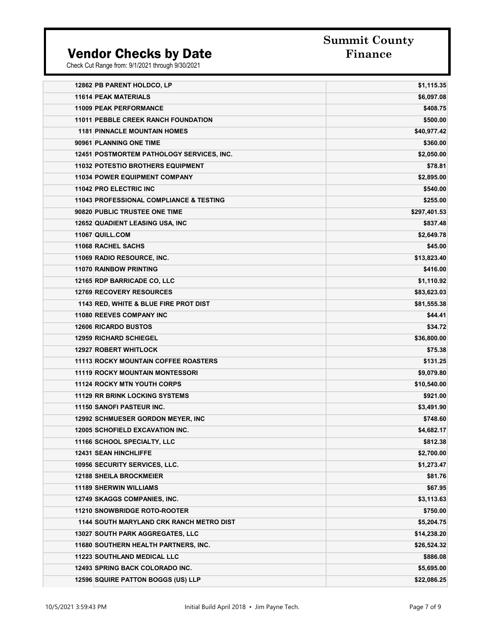# **Summit County**

| 12862 PB PARENT HOLDCO, LP                         | \$1,115.35   |
|----------------------------------------------------|--------------|
| <b>11614 PEAK MATERIALS</b>                        | \$6,097.08   |
| <b>11009 PEAK PERFORMANCE</b>                      | \$408.75     |
| <b>11011 PEBBLE CREEK RANCH FOUNDATION</b>         | \$500.00     |
| <b>1181 PINNACLE MOUNTAIN HOMES</b>                | \$40,977.42  |
| 90961 PLANNING ONE TIME                            | \$360.00     |
| 12451 POSTMORTEM PATHOLOGY SERVICES, INC.          | \$2,050.00   |
| <b>11032 POTESTIO BROTHERS EQUIPMENT</b>           | \$78.81      |
| <b>11034 POWER EQUIPMENT COMPANY</b>               | \$2,895.00   |
| 11042 PRO ELECTRIC INC                             | \$540.00     |
| <b>11043 PROFESSIONAL COMPLIANCE &amp; TESTING</b> | \$255.00     |
| 90820 PUBLIC TRUSTEE ONE TIME                      | \$297,401.53 |
| 12652 QUADIENT LEASING USA, INC                    | \$837.48     |
| 11067 QUILL.COM                                    | \$2,649.78   |
| 11068 RACHEL SACHS                                 | \$45.00      |
| 11069 RADIO RESOURCE, INC.                         | \$13,823.40  |
| <b>11070 RAINBOW PRINTING</b>                      | \$416.00     |
| 12165 RDP BARRICADE CO, LLC                        | \$1,110.92   |
| <b>12769 RECOVERY RESOURCES</b>                    | \$83,623.03  |
| 1143 RED, WHITE & BLUE FIRE PROT DIST              | \$81,555.38  |
| 11080 REEVES COMPANY INC                           | \$44.41      |
| <b>12606 RICARDO BUSTOS</b>                        | \$34.72      |
| <b>12959 RICHARD SCHIEGEL</b>                      | \$36,800.00  |
| <b>12927 ROBERT WHITLOCK</b>                       | \$75.38      |
| <b>11113 ROCKY MOUNTAIN COFFEE ROASTERS</b>        | \$131.25     |
| <b>11119 ROCKY MOUNTAIN MONTESSORI</b>             | \$9,079.80   |
| <b>11124 ROCKY MTN YOUTH CORPS</b>                 | \$10,540.00  |
| <b>11129 RR BRINK LOCKING SYSTEMS</b>              | \$921.00     |
| 11150 SANOFI PASTEUR INC.                          | \$3,491.90   |
| <b>12992 SCHMUESER GORDON MEYER, INC</b>           | \$748.60     |
| <b>12005 SCHOFIELD EXCAVATION INC.</b>             | \$4,682.17   |
| 11166 SCHOOL SPECIALTY, LLC                        | \$812.38     |
| 12431 SEAN HINCHLIFFE                              | \$2,700.00   |
| 10956 SECURITY SERVICES, LLC.                      | \$1,273.47   |
| <b>12188 SHEILA BROCKMEIER</b>                     | \$81.76      |
| <b>11189 SHERWIN WILLIAMS</b>                      | \$67.95      |
| 12749 SKAGGS COMPANIES, INC.                       | \$3,113.63   |
| 11210 SNOWBRIDGE ROTO-ROOTER                       | \$750.00     |
| <b>1144 SOUTH MARYLAND CRK RANCH METRO DIST</b>    | \$5,204.75   |
| 13027 SOUTH PARK AGGREGATES, LLC                   | \$14,238.20  |
| 11680 SOUTHERN HEALTH PARTNERS, INC.               | \$26,524.32  |
| <b>11223 SOUTHLAND MEDICAL LLC</b>                 | \$886.08     |
| 12493 SPRING BACK COLORADO INC.                    | \$5,695.00   |
| 12596 SQUIRE PATTON BOGGS (US) LLP                 | \$22,086.25  |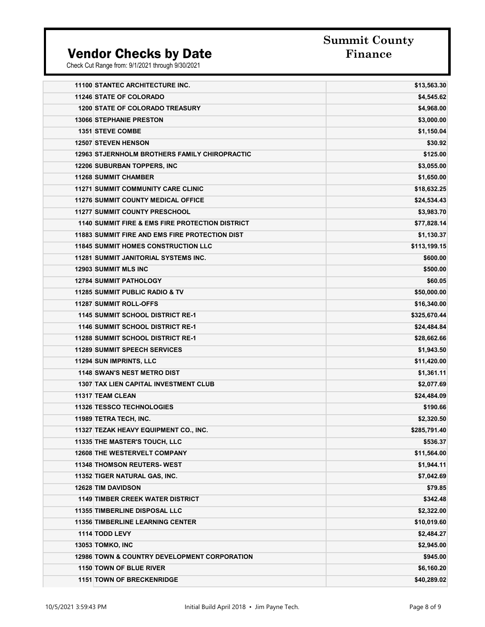# **Summit County**

| <b>11100 STANTEC ARCHITECTURE INC.</b>                     | \$13,563.30  |
|------------------------------------------------------------|--------------|
| <b>11246 STATE OF COLORADO</b>                             | \$4,545.62   |
| <b>1200 STATE OF COLORADO TREASURY</b>                     | \$4,968.00   |
| <b>13066 STEPHANIE PRESTON</b>                             | \$3,000.00   |
| <b>1351 STEVE COMBE</b>                                    | \$1,150.04   |
| <b>12507 STEVEN HENSON</b>                                 | \$30.92      |
| <b>12963 STJERNHOLM BROTHERS FAMILY CHIROPRACTIC</b>       | \$125.00     |
| <b>12206 SUBURBAN TOPPERS, INC</b>                         | \$3,055.00   |
| <b>11268 SUMMIT CHAMBER</b>                                | \$1,650.00   |
| <b>11271 SUMMIT COMMUNITY CARE CLINIC</b>                  | \$18,632.25  |
| <b>11276 SUMMIT COUNTY MEDICAL OFFICE</b>                  | \$24,534.43  |
| <b>11277 SUMMIT COUNTY PRESCHOOL</b>                       | \$3,983.70   |
| <b>1140 SUMMIT FIRE &amp; EMS FIRE PROTECTION DISTRICT</b> | \$77,828.14  |
| <b>11883 SUMMIT FIRE AND EMS FIRE PROTECTION DIST</b>      | \$1,130.37   |
| <b>11845 SUMMIT HOMES CONSTRUCTION LLC</b>                 | \$113,199.15 |
| <b>11281 SUMMIT JANITORIAL SYSTEMS INC.</b>                | \$600.00     |
| <b>12903 SUMMIT MLS INC</b>                                | \$500.00     |
| <b>12784 SUMMIT PATHOLOGY</b>                              | \$60.05      |
| 11285 SUMMIT PUBLIC RADIO & TV                             | \$50,000.00  |
| 11287 SUMMIT ROLL-OFFS                                     | \$16,340.00  |
| <b>1145 SUMMIT SCHOOL DISTRICT RE-1</b>                    | \$325,670.44 |
| <b>1146 SUMMIT SCHOOL DISTRICT RE-1</b>                    | \$24,484.84  |
| <b>11288 SUMMIT SCHOOL DISTRICT RE-1</b>                   | \$28,662.66  |
| <b>11289 SUMMIT SPEECH SERVICES</b>                        | \$1,943.50   |
| 11294 SUN IMPRINTS, LLC                                    | \$11,420.00  |
| <b>1148 SWAN'S NEST METRO DIST</b>                         | \$1,361.11   |
| <b>1307 TAX LIEN CAPITAL INVESTMENT CLUB</b>               | \$2,077.69   |
| <b>11317 TEAM CLEAN</b>                                    | \$24,484.09  |
| <b>11326 TESSCO TECHNOLOGIES</b>                           | \$190.66     |
| 11989 TETRA TECH, INC.                                     | \$2,320.50   |
| 11327 TEZAK HEAVY EQUIPMENT CO., INC.                      | \$285,791.40 |
| 11335 THE MASTER'S TOUCH, LLC                              | \$536.37     |
| <b>12608 THE WESTERVELT COMPANY</b>                        | \$11,564.00  |
| 11348 THOMSON REUTERS- WEST                                | \$1,944.11   |
| 11352 TIGER NATURAL GAS, INC.                              | \$7,042.69   |
| 12628 TIM DAVIDSON                                         | \$79.85      |
| <b>1149 TIMBER CREEK WATER DISTRICT</b>                    | \$342.48     |
| <b>11355 TIMBERLINE DISPOSAL LLC</b>                       | \$2,322.00   |
| <b>11356 TIMBERLINE LEARNING CENTER</b>                    | \$10,019.60  |
| 1114 TODD LEVY                                             | \$2,484.27   |
| <b>13053 TOMKO, INC</b>                                    | \$2,945.00   |
| 12986 TOWN & COUNTRY DEVELOPMENT CORPORATION               | \$945.00     |
| 1150 TOWN OF BLUE RIVER                                    | \$6,160.20   |
| <b>1151 TOWN OF BRECKENRIDGE</b>                           | \$40,289.02  |